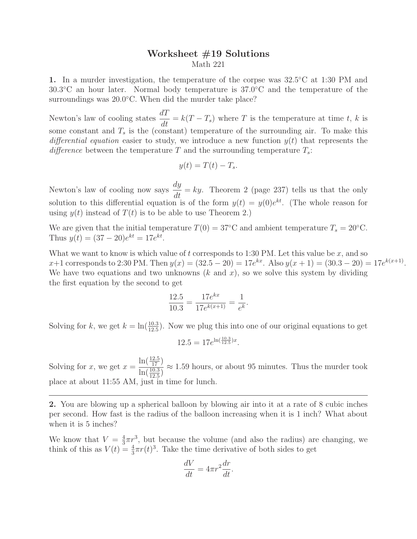## Worksheet #19 Solutions Math 221

1. In a murder investigation, the temperature of the corpse was  $32.5\textdegree C$  at 1:30 PM and 30.3◦C an hour later. Normal body temperature is 37.0◦C and the temperature of the surroundings was 20.0<sup>°</sup>C. When did the murder take place?

Newton's law of cooling states  $\frac{dT}{dt} = k(T - T_s)$  where T is the temperature at time t, k is some constant and  $T_s$  is the (constant) temperature of the surrounding air. To make this differential equation easier to study, we introduce a new function  $y(t)$  that represents the difference between the temperature T and the surrounding temperature  $T_s$ :

$$
y(t) = T(t) - T_s.
$$

Newton's law of cooling now says  $\frac{dy}{dt} = ky$ . Theorem 2 (page 237) tells us that the only solution to this differential equation is of the form  $y(t) = y(0)e^{kt}$ . (The whole reason for using  $y(t)$  instead of  $T(t)$  is to be able to use Theorem 2.)

We are given that the initial temperature  $T(0) = 37^{\circ}\text{C}$  and ambient temperature  $T_s = 20^{\circ}\text{C}$ . Thus  $y(t) = (37 - 20)e^{kt} = 17e^{kt}$ .

What we want to know is which value of t corresponds to 1:30 PM. Let this value be  $x$ , and so  $x+1$  corresponds to 2:30 PM. Then  $y(x) = (32.5 - 20) = 17e^{kx}$ . Also  $y(x+1) = (30.3 - 20) = 17e^{k(x+1)}$ . We have two equations and two unknowns  $(k \text{ and } x)$ , so we solve this system by dividing the first equation by the second to get

$$
\frac{12.5}{10.3} = \frac{17e^{kx}}{17e^{k(x+1)}} = \frac{1}{e^k}.
$$

Solving for k, we get  $k = \ln(\frac{10.3}{12.5})$ . Now we plug this into one of our original equations to get

$$
12.5 = 17e^{\ln(\frac{10.3}{12.5})x}.
$$

Solving for  $x$ , we get  $x =$  $\ln(\frac{12.5}{17})$  $\frac{12(17)}{\ln(\frac{10.3}{12.5})} \approx 1.59$  hours, or about 95 minutes. Thus the murder took place at about 11:55 AM, just in time for lunch.

2. You are blowing up a spherical balloon by blowing air into it at a rate of 8 cubic inches per second. How fast is the radius of the balloon increasing when it is 1 inch? What about when it is 5 inches?

We know that  $V=\frac{4}{3}$  $\frac{4}{3}\pi r^3$ , but because the volume (and also the radius) are changing, we think of this as  $V(t) = \frac{4}{3}\pi r(t)^3$ . Take the time derivative of both sides to get

$$
\frac{dV}{dt} = 4\pi r^2 \frac{dr}{dt}.
$$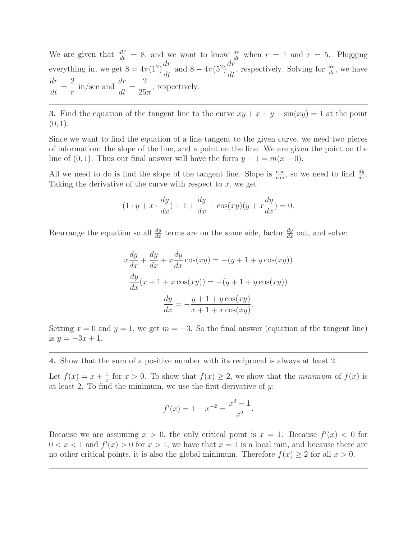We are given that  $\frac{dV}{dt} = 8$ , and we want to know  $\frac{dr}{dt}$  when  $r = 1$  and  $r = 5$ . Plugging everything in, we get  $8 = 4\pi(1^2)$  $\frac{dr}{dt}$  and  $8 - 4\pi(5^2)$  $\frac{dr}{dt}$ , respectively. Solving for  $\frac{dr}{dt}$ , we have dr  $\frac{d}{dt} =$ 2  $rac{2}{\pi}$  in/sec and  $\frac{dr}{dt}$  = 2  $\frac{2}{25\pi}$ , respectively.

3. Find the equation of the tangent line to the curve  $xy + x + y + \sin(xy) = 1$  at the point  $(0, 1)$ .

Since we want to find the equation of a line tangent to the given curve, we need two pieces of information: the slope of the line, and a point on the line. We are given the point on the line of  $(0, 1)$ . Thus our final answer will have the form  $y - 1 = m(x - 0)$ .

All we need to do is find the slope of the tangent line. Slope is  $\frac{\text{rise}}{\text{run}}$ , so we need to find  $\frac{dy}{dx}$ . Taking the derivative of the curve with respect to  $x$ , we get

$$
(1 \cdot y + x \cdot \frac{dy}{dx}) + 1 + \frac{dy}{dx} + \cos(xy)(y + x\frac{dy}{dx}) = 0.
$$

Rearrange the equation so all  $\frac{dy}{dx}$  terms are on the same side, factor  $\frac{dy}{dx}$  out, and solve:

$$
x\frac{dy}{dx} + \frac{dy}{dx} + x\frac{dy}{dx}\cos(xy) = -(y+1+y\cos(xy))
$$

$$
\frac{dy}{dx}(x+1+x\cos(xy)) = -(y+1+y\cos(xy))
$$

$$
\frac{dy}{dx} = -\frac{y+1+y\cos(xy)}{x+1+x\cos(xy)}.
$$

Setting  $x = 0$  and  $y = 1$ , we get  $m = -3$ . So the final answer (equation of the tangent line) is  $y = -3x + 1$ .

4. Show that the sum of a positive number with its reciprocal is always at least 2.

Let  $f(x) = x + \frac{1}{x}$  $\frac{1}{x}$  for  $x > 0$ . To show that  $f(x) \geq 2$ , we show that the *minimum* of  $f(x)$  is at least 2. To find the minimum, we use the first derivative of  $y$ :

$$
f'(x) = 1 - x^{-2} = \frac{x^2 - 1}{x^2}.
$$

Because we are assuming  $x > 0$ , the only critical point is  $x = 1$ . Because  $f'(x) < 0$  for  $0 < x < 1$  and  $f'(x) > 0$  for  $x > 1$ , we have that  $x = 1$  is a local min, and because there are no other critical points, it is also the global minimum. Therefore  $f(x) \geq 2$  for all  $x > 0$ .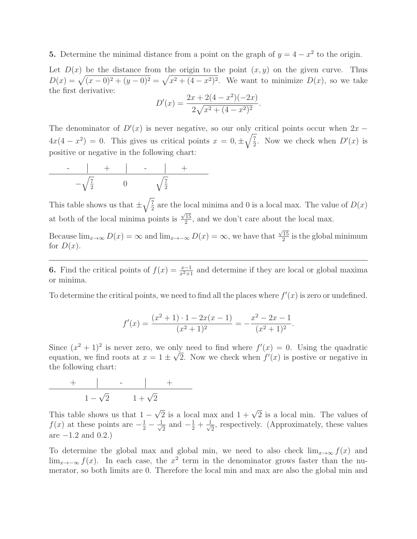## **5.** Determine the minimal distance from a point on the graph of  $y = 4 - x^2$  to the origin.

Let  $D(x)$  be the distance from the origin to the point  $(x, y)$  on the given curve. Thus  $D(x) = \sqrt{(x-0)^2 + (y-0)^2} = \sqrt{x^2 + (4-x^2)^2}$ . We want to minimize  $D(x)$ , so we take the first derivative: 2

$$
D'(x) = \frac{2x + 2(4 - x^2)(-2x)}{2\sqrt{x^2 + (4 - x^2)^2}}
$$

.

The denominator of  $D'(x)$  is never negative, so our only critical points occur when  $2x 4x(4-x^2) = 0$ . This gives us critical points  $x = 0, \pm \sqrt{\frac{7}{2}}$  $\frac{7}{2}$ . Now we check when  $D'(x)$  is positive or negative in the following chart:

$$
\begin{array}{c|c|c|c|c}\n\hline\n-\hspace{1.5cm}\n-\hspace{1.5cm}\sqrt{\frac{7}{2}} & 0 & \sqrt{\frac{7}{2}} \\
\hline\n-\hspace{1.5cm}\sqrt{\frac{7}{2}} & 0 & \sqrt{\frac{7}{2}} \\
\hline\n\end{array}
$$

This table shows us that  $\pm \sqrt{\frac{7}{2}}$  $\frac{7}{2}$  are the local minima and 0 is a local max. The value of  $D(x)$ at both of the local minima points is  $\frac{\sqrt{15}}{2}$  $\frac{15}{2}$ , and we don't care about the local max.

Because  $\lim_{x\to\infty} D(x) = \infty$  and  $\lim_{x\to-\infty} D(x) = \infty$ , we have that  $\frac{\sqrt{15}}{2}$  $\frac{15}{2}$  is the global minimum for  $D(x)$ .

**6.** Find the critical points of  $f(x) = \frac{x-1}{x^2+1}$  and determine if they are local or global maxima or minima.

To determine the critical points, we need to find all the places where  $f'(x)$  is zero or undefined.

$$
f'(x) = \frac{(x^2+1)\cdot 1 - 2x(x-1)}{(x^2+1)^2} = -\frac{x^2-2x-1}{(x^2+1)^2}.
$$

Since  $(x^2 + 1)^2$  is never zero, we only need to find where  $f'(x) = 0$ . Using the quadratic equation, we find roots at  $x = 1 \pm \sqrt{2}$ . Now we check when  $f'(x)$  is postive or negative in the following chart:

$$
\begin{array}{c|c|c|c}\n+ & - & - & + \\
\hline\n1 - \sqrt{2} & 1 + \sqrt{2}\n\end{array}
$$

This table shows us that  $1 - \sqrt{2}$  is a local max and  $1 + \sqrt{2}$  is a local min. The values of  $f(x)$  at these points are  $-\frac{1}{2} - \frac{1}{\sqrt{2}}$  $\frac{1}{2}$  and  $-\frac{1}{2} + \frac{1}{\sqrt{2}}$  $\overline{z}$ , respectively. (Approximately, these values are  $-1.2$  and  $0.2$ .)

To determine the global max and global min, we need to also check  $\lim_{x\to\infty} f(x)$  and lim<sub>x→−∞</sub> f(x). In each case, the x<sup>2</sup> term in the denominator grows faster than the numerator, so both limits are 0. Therefore the local min and max are also the global min and